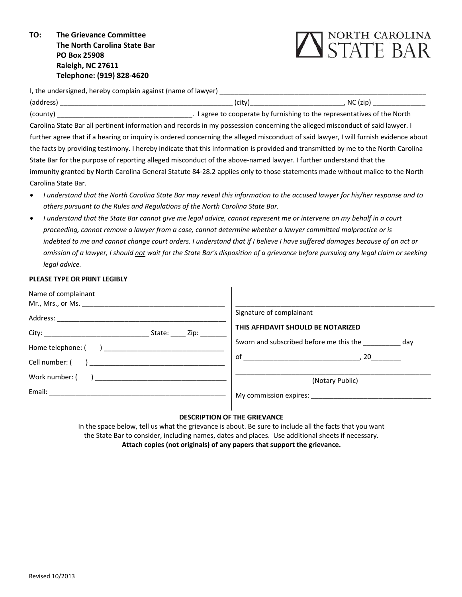**TO: The Grievance Committee The North Carolina State Bar PO Box 25908 Raleigh, NC 27611 Telephone: (919) 828‐4620**



I, the undersigned, hereby complain against (name of lawyer)

| (address)                                                                                                                             | (city) | NC(zip)                                                                  |
|---------------------------------------------------------------------------------------------------------------------------------------|--------|--------------------------------------------------------------------------|
| (county)                                                                                                                              |        | . I agree to cooperate by furnishing to the representatives of the North |
| Carolina State Bar all pertinent information and records in my possession concerning the alleged misconduct of said lawyer. I         |        |                                                                          |
| further agree that if a hearing or inquiry is ordered concerning the alleged misconduct of said lawyer, I will furnish evidence about |        |                                                                          |
| the facts by providing testimony. I hereby indicate that this information is provided and transmitted by me to the North Carolina     |        |                                                                          |
| State Bar for the purpose of reporting alleged misconduct of the above-named lawyer. I further understand that the                    |        |                                                                          |
| immunity granted by North Carolina General Statute 84-28.2 applies only to those statements made without malice to the North          |        |                                                                          |
| Carolina State Bar.                                                                                                                   |        |                                                                          |

- I understand that the North Carolina State Bar may reveal this information to the accused lawyer for his/her response and to *others pursuant to the Rules and Regulations of the North Carolina State Bar.*
- I understand that the State Bar cannot give me legal advice, cannot represent me or intervene on my behalf in a court proceeding, cannot remove a lawyer from a case, cannot determine whether a lawyer committed malpractice or is indebted to me and cannot change court orders. I understand that if I believe I have suffered damages because of an act or omission of a lawyer, I should not wait for the State Bar's disposition of a grievance before pursuing any legal claim or seeking *legal advice.*

### **PLEASE TYPE OR PRINT LEGIBLY**

| Name of complainant<br>Mr., Mrs., or Ms.                                                                                                                                                                                       |                                                           |
|--------------------------------------------------------------------------------------------------------------------------------------------------------------------------------------------------------------------------------|-----------------------------------------------------------|
| Address: Analysis and the set of the set of the set of the set of the set of the set of the set of the set of the set of the set of the set of the set of the set of the set of the set of the set of the set of the set of th | Signature of complainant                                  |
|                                                                                                                                                                                                                                | THIS AFFIDAVIT SHOULD BE NOTARIZED                        |
|                                                                                                                                                                                                                                | Sworn and subscribed before me this the _____________ day |
| Cell number: ( )                                                                                                                                                                                                               |                                                           |
| Work number: (                                                                                                                                                                                                                 | (Notary Public)                                           |
|                                                                                                                                                                                                                                | My commission expires:                                    |

# **DESCRIPTION OF THE GRIEVANCE**

In the space below, tell us what the grievance is about. Be sure to include all the facts that you want the State Bar to consider, including names, dates and places. Use additional sheets if necessary. **Attach copies (not originals) of any papers that support the grievance.**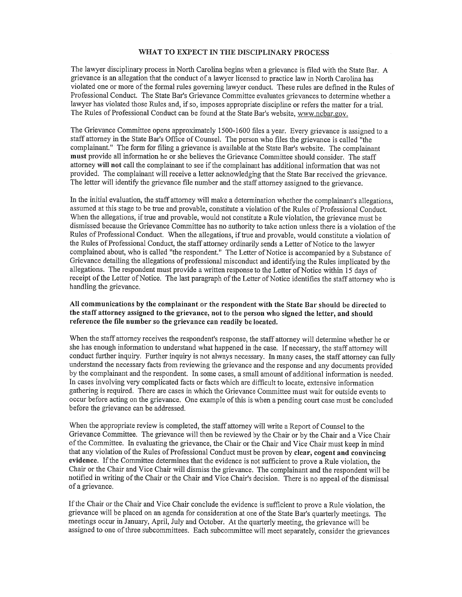### WHAT TO EXPECT IN THE DISCIPLINARY PROCESS

The lawyer disciplinary process in North Carolina begins when a grievance is filed with the State Bar. A grievance is an allegation that the conduct of a lawyer licensed to practice law in North Carolina has violated one or more of the formal rules governing lawyer conduct. These rules are defined in the Rules of Professional Conduct. The State Bar's Grievance Committee evaluates grievances to determine whether a lawyer has violated those Rules and, if so, imposes appropriate discipline or refers the matter for a trial. The Rules of Professional Conduct can be found at the State Bar's website, www.ncbar.gov.

The Grievance Committee opens approximately 1500-1600 files a year. Every grievance is assigned to a staff attorney in the State Bar's Office of Counsel. The person who files the grievance is called "the complainant." The form for filing a grievance is available at the State Bar's website. The complainant must provide all information he or she believes the Grievance Committee should consider. The staff attorney will not call the complainant to see if the complainant has additional information that was not provided. The complainant will receive a letter acknowledging that the State Bar received the grievance. The letter will identify the grievance file number and the staff attorney assigned to the grievance.

In the initial evaluation, the staff attorney will make a determination whether the complainant's allegations, assumed at this stage to be true and provable, constitute a violation of the Rules of Professional Conduct. When the allegations, if true and provable, would not constitute a Rule violation, the grievance must be dismissed because the Grievance Committee has no authority to take action unless there is a violation of the Rules of Professional Conduct. When the allegations, if true and provable, would constitute a violation of the Rules of Professional Conduct, the staff attorney ordinarily sends a Letter of Notice to the lawyer complained about, who is called "the respondent." The Letter of Notice is accompanied by a Substance of Grievance detailing the allegations of professional misconduct and identifying the Rules implicated by the allegations. The respondent must provide a written response to the Letter of Notice within 15 days of receipt of the Letter of Notice. The last paragraph of the Letter of Notice identifies the staff attorney who is handling the grievance.

# All communications by the complainant or the respondent with the State Bar should be directed to the staff attorney assigned to the grievance, not to the person who signed the letter, and should reference the file number so the grievance can readily be located.

When the staff attorney receives the respondent's response, the staff attorney will determine whether he or she has enough information to understand what happened in the case. If necessary, the staff attorney will conduct further inquiry. Further inquiry is not always necessary. In many cases, the staff attorney can fully understand the necessary facts from reviewing the grievance and the response and any documents provided by the complainant and the respondent. In some cases, a small amount of additional information is needed. In cases involving very complicated facts or facts which are difficult to locate, extensive information gathering is required. There are cases in which the Grievance Committee must wait for outside events to occur before acting on the grievance. One example of this is when a pending court case must be concluded before the grievance can be addressed.

When the appropriate review is completed, the staff attorney will write a Report of Counsel to the Grievance Committee. The grievance will then be reviewed by the Chair or by the Chair and a Vice Chair of the Committee. In evaluating the grievance, the Chair or the Chair and Vice Chair must keep in mind that any violation of the Rules of Professional Conduct must be proven by clear, cogent and convincing evidence. If the Committee determines that the evidence is not sufficient to prove a Rule violation, the Chair or the Chair and Vice Chair will dismiss the grievance. The complainant and the respondent will be notified in writing of the Chair or the Chair and Vice Chair's decision. There is no appeal of the dismissal of a grievance.

If the Chair or the Chair and Vice Chair conclude the evidence is sufficient to prove a Rule violation, the grievance will be placed on an agenda for consideration at one of the State Bar's quarterly meetings. The meetings occur in January, April, July and October. At the quarterly meeting, the grievance will be assigned to one of three subcommittees. Each subcommittee will meet separately, consider the grievances